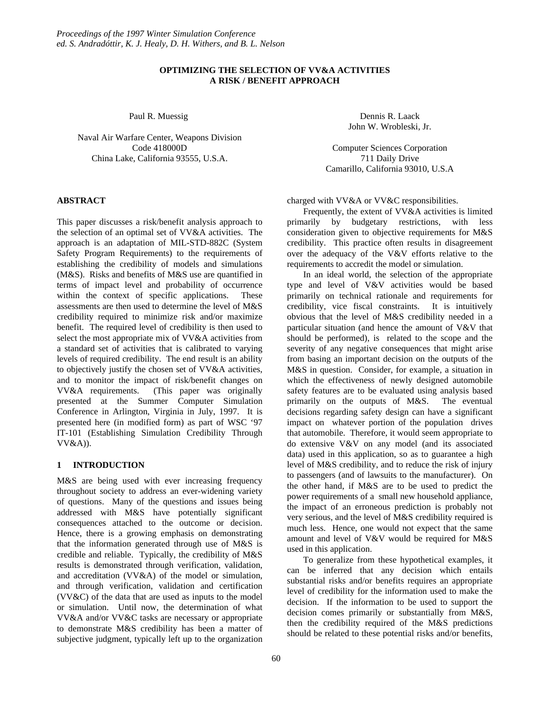# **OPTIMIZING THE SELECTION OF VV&A ACTIVITIES A RISK / BENEFIT APPROACH**

Paul R. Muessig

Naval Air Warfare Center, Weapons Division Code 418000D China Lake, California 93555, U.S.A.

### **ABSTRACT**

This paper discusses a risk/benefit analysis approach to the selection of an optimal set of VV&A activities. The approach is an adaptation of MIL-STD-882C (System Safety Program Requirements) to the requirements of establishing the credibility of models and simulations (M&S). Risks and benefits of M&S use are quantified in terms of impact level and probability of occurrence within the context of specific applications. These assessments are then used to determine the level of M&S credibility required to minimize risk and/or maximize benefit. The required level of credibility is then used to select the most appropriate mix of VV&A activities from a standard set of activities that is calibrated to varying levels of required credibility. The end result is an ability to objectively justify the chosen set of VV&A activities, and to monitor the impact of risk/benefit changes on VV&A requirements. (This paper was originally presented at the Summer Computer Simulation Conference in Arlington, Virginia in July, 1997. It is presented here (in modified form) as part of WSC '97 IT-101 (Establishing Simulation Credibility Through VV&A)).

# **1 INTRODUCTION**

M&S are being used with ever increasing frequency throughout society to address an ever-widening variety of questions. Many of the questions and issues being addressed with M&S have potentially significant consequences attached to the outcome or decision. Hence, there is a growing emphasis on demonstrating that the information generated through use of M&S is credible and reliable. Typically, the credibility of M&S results is demonstrated through verification, validation, and accreditation (VV&A) of the model or simulation, and through verification, validation and certification (VV&C) of the data that are used as inputs to the model or simulation. Until now, the determination of what VV&A and/or VV&C tasks are necessary or appropriate to demonstrate M&S credibility has been a matter of subjective judgment, typically left up to the organization

Dennis R. Laack John W. Wrobleski, Jr.

Computer Sciences Corporation 711 Daily Drive Camarillo, California 93010, U.S.A

charged with VV&A or VV&C responsibilities.

Frequently, the extent of VV&A activities is limited primarily by budgetary restrictions, with less consideration given to objective requirements for M&S credibility. This practice often results in disagreement over the adequacy of the V&V efforts relative to the requirements to accredit the model or simulation.

In an ideal world, the selection of the appropriate type and level of V&V activities would be based primarily on technical rationale and requirements for credibility, vice fiscal constraints. It is intuitively obvious that the level of M&S credibility needed in a particular situation (and hence the amount of V&V that should be performed), is related to the scope and the severity of any negative consequences that might arise from basing an important decision on the outputs of the M&S in question. Consider, for example, a situation in which the effectiveness of newly designed automobile safety features are to be evaluated using analysis based primarily on the outputs of M&S. The eventual decisions regarding safety design can have a significant impact on whatever portion of the population drives that automobile. Therefore, it would seem appropriate to do extensive V&V on any model (and its associated data) used in this application, so as to guarantee a high level of M&S credibility, and to reduce the risk of injury to passengers (and of lawsuits to the manufacturer). On the other hand, if M&S are to be used to predict the power requirements of a small new household appliance, the impact of an erroneous prediction is probably not very serious, and the level of M&S credibility required is much less. Hence, one would not expect that the same amount and level of V&V would be required for M&S used in this application.

To generalize from these hypothetical examples, it can be inferred that any decision which entails substantial risks and/or benefits requires an appropriate level of credibility for the information used to make the decision. If the information to be used to support the decision comes primarily or substantially from M&S, then the credibility required of the M&S predictions should be related to these potential risks and/or benefits,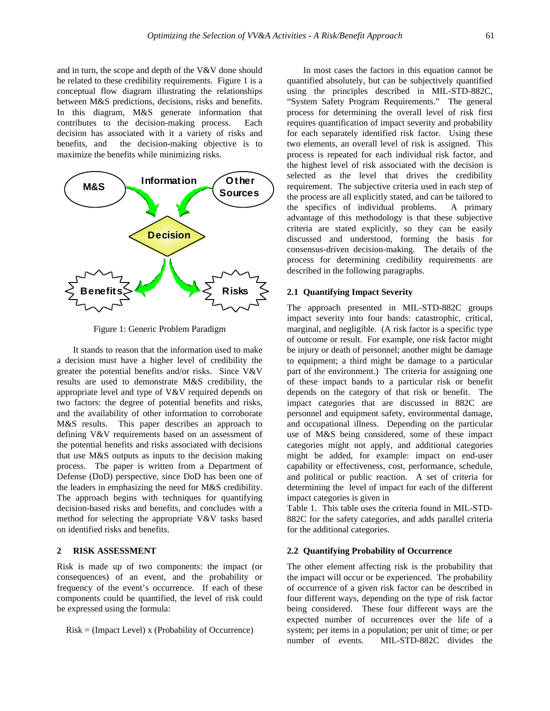and in turn, the scope and depth of the V&V done should be related to these credibility requirements. Figure 1 is a conceptual flow diagram illustrating the relationships between M&S predictions, decisions, risks and benefits. In this diagram, M&S generate information that contributes to the decision-making process. Each decision has associated with it a variety of risks and benefits, and the decision-making objective is to maximize the benefits while minimizing risks.



Figure 1: Generic Problem Paradigm

It stands to reason that the information used to make a decision must have a higher level of credibility the greater the potential benefits and/or risks. Since V&V results are used to demonstrate M&S credibility, the appropriate level and type of V&V required depends on two factors: the degree of potential benefits and risks, and the availability of other information to corroborate M&S results. This paper describes an approach to defining V&V requirements based on an assessment of the potential benefits and risks associated with decisions that use M&S outputs as inputs to the decision making process. The paper is written from a Department of Defense (DoD) perspective, since DoD has been one of the leaders in emphasizing the need for M&S credibility. The approach begins with techniques for quantifying decision-based risks and benefits, and concludes with a method for selecting the appropriate V&V tasks based on identified risks and benefits.

# **2 RISK ASSESSMENT**

Risk is made up of two components: the impact (or consequences) of an event, and the probability or frequency of the event's occurrence. If each of these components could be quantified, the level of risk could be expressed using the formula:

 $Risk = (Image Level) \times (Probability of Occurrence)$ 

In most cases the factors in this equation cannot be quantified absolutely, but can be subjectively quantified using the principles described in MIL-STD-882C, "System Safety Program Requirements." The general process for determining the overall level of risk first requires quantification of impact severity and probability for each separately identified risk factor. Using these two elements, an overall level of risk is assigned. This process is repeated for each individual risk factor, and the highest level of risk associated with the decision is selected as the level that drives the credibility requirement. The subjective criteria used in each step of the process are all explicitly stated, and can be tailored to the specifics of individual problems. A primary advantage of this methodology is that these subjective criteria are stated explicitly, so they can be easily discussed and understood, forming the basis for consensus-driven decision-making. The details of the process for determining credibility requirements are described in the following paragraphs.

### **2.1 Quantifying Impact Severity**

The approach presented in MIL-STD-882C groups impact severity into four bands: catastrophic, critical, marginal, and negligible. (A risk factor is a specific type of outcome or result. For example, one risk factor might be injury or death of personnel; another might be damage to equipment; a third might be damage to a particular part of the environment.) The criteria for assigning one of these impact bands to a particular risk or benefit depends on the category of that risk or benefit. The impact categories that are discussed in 882C are personnel and equipment safety, environmental damage, and occupational illness. Depending on the particular use of M&S being considered, some of these impact categories might not apply, and additional categories might be added, for example: impact on end-user capability or effectiveness, cost, performance, schedule, and political or public reaction. A set of criteria for determining the level of impact for each of the different impact categories is given in

Table 1. This table uses the criteria found in MIL-STD-882C for the safety categories, and adds parallel criteria for the additional categories.

# **2.2 Quantifying Probability of Occurrence**

The other element affecting risk is the probability that the impact will occur or be experienced. The probability of occurrence of a given risk factor can be described in four different ways, depending on the type of risk factor being considered. These four different ways are the expected number of occurrences over the life of a system; per items in a population; per unit of time; or per number of events. MIL-STD-882C divides the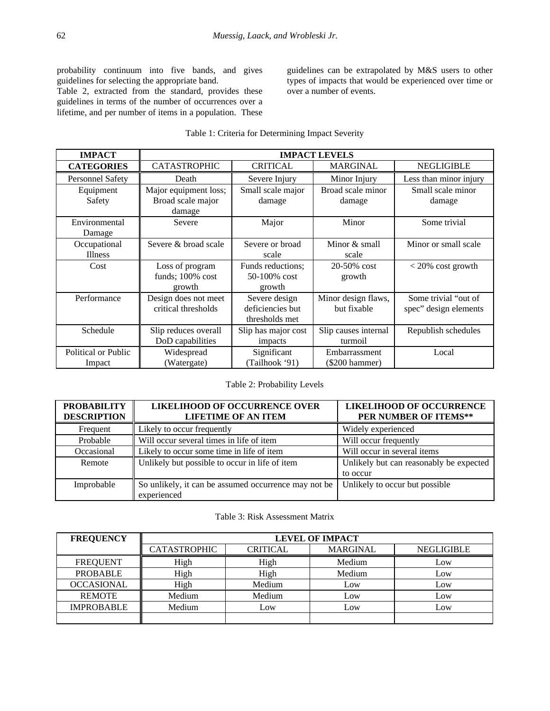probability continuum into five bands, and gives guidelines for selecting the appropriate band.

Table 2, extracted from the standard, provides these guidelines in terms of the number of occurrences over a lifetime, and per number of items in a population. These guidelines can be extrapolated by M&S users to other types of impacts that would be experienced over time or over a number of events.

# Table 1: Criteria for Determining Impact Severity

| <b>IMPACT</b>           | <b>IMPACT LEVELS</b>  |                     |                          |                        |
|-------------------------|-----------------------|---------------------|--------------------------|------------------------|
| <b>CATEGORIES</b>       | <b>CATASTROPHIC</b>   | <b>CRITICAL</b>     | <b>MARGINAL</b>          | <b>NEGLIGIBLE</b>      |
| <b>Personnel Safety</b> | Death                 | Severe Injury       | Minor Injury             | Less than minor injury |
| Equipment               | Major equipment loss; | Small scale major   | Broad scale minor        | Small scale minor      |
| Safety                  | Broad scale major     | damage              | damage                   | damage                 |
|                         | damage                |                     |                          |                        |
| Environmental           | Severe                | Major               | Minor                    | Some trivial           |
| Damage                  |                       |                     |                          |                        |
| Occupational            | Severe & broad scale  | Severe or broad     | Minor & small            | Minor or small scale   |
| <b>Illness</b>          |                       | scale               | scale                    |                        |
| Cost                    | Loss of program       | Funds reductions;   | 20-50% cost              | $< 20\%$ cost growth   |
|                         | funds; $100\%$ cost   | $50-100\%$ cost     | growth                   |                        |
|                         | growth                | growth              |                          |                        |
| Performance             | Design does not meet  | Severe design       | Minor design flaws,      | Some trivial "out of   |
|                         | critical thresholds   | deficiencies but    | but fixable              | spec" design elements  |
|                         |                       | thresholds met      |                          |                        |
| Schedule                | Slip reduces overall  | Slip has major cost | Slip causes internal     | Republish schedules    |
|                         | DoD capabilities      | impacts             | turmoil                  |                        |
| Political or Public     | Widespread            | Significant         | Embarrassment            | Local                  |
| Impact                  | (Watergate)           | (Tailhook '91)      | $(\$200 \text{ hammer})$ |                        |

# Table 2: Probability Levels

| <b>PROBABILITY</b><br><b>DESCRIPTION</b> | <b>LIKELIHOOD OF OCCURRENCE OVER</b><br><b>LIFETIME OF AN ITEM</b>  | <b>LIKELIHOOD OF OCCURRENCE</b><br>PER NUMBER OF ITEMS** |
|------------------------------------------|---------------------------------------------------------------------|----------------------------------------------------------|
| Frequent                                 | Likely to occur frequently                                          | Widely experienced                                       |
| Probable                                 | Will occur several times in life of item                            | Will occur frequently                                    |
| Occasional                               | Likely to occur some time in life of item                           | Will occur in several items                              |
| Remote                                   | Unlikely but possible to occur in life of item                      | Unlikely but can reasonably be expected                  |
|                                          |                                                                     | to occur                                                 |
| Improbable                               | So unlikely, it can be assumed occurrence may not be<br>experienced | Unlikely to occur but possible                           |

### Table 3: Risk Assessment Matrix

| <b>FREQUENCY</b>  | <b>LEVEL OF IMPACT</b> |                 |                 |                   |
|-------------------|------------------------|-----------------|-----------------|-------------------|
|                   | <b>CATASTROPHIC</b>    | <b>CRITICAL</b> | <b>MARGINAL</b> | <b>NEGLIGIBLE</b> |
| <b>FREQUENT</b>   | High                   | High            | Medium          | Low               |
| <b>PROBABLE</b>   | High                   | High            | Medium          | Low               |
| <b>OCCASIONAL</b> | High                   | Medium          | Low             | Low               |
| <b>REMOTE</b>     | Medium                 | Medium          | Low             | Low               |
| <b>IMPROBABLE</b> | Medium                 | Low             | Low             | Low               |
|                   |                        |                 |                 |                   |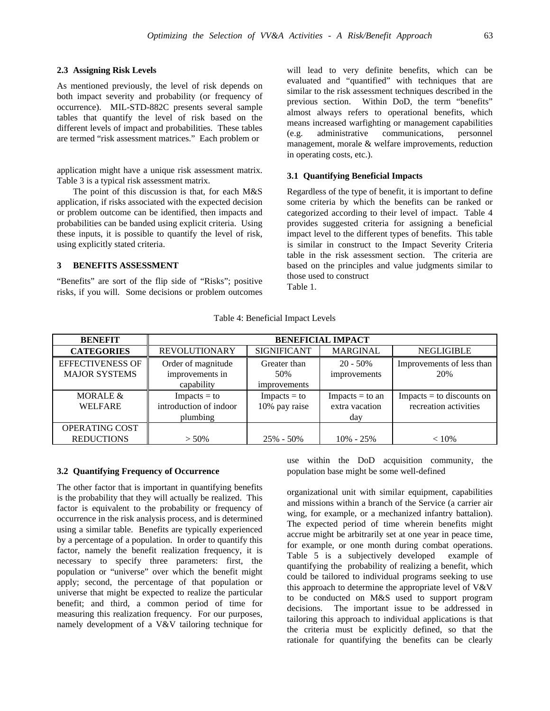#### **2.3 Assigning Risk Levels**

As mentioned previously, the level of risk depends on both impact severity and probability (or frequency of occurrence). MIL-STD-882C presents several sample tables that quantify the level of risk based on the different levels of impact and probabilities. These tables are termed "risk assessment matrices." Each problem or

application might have a unique risk assessment matrix. Table 3 is a typical risk assessment matrix.

The point of this discussion is that, for each M&S application, if risks associated with the expected decision or problem outcome can be identified, then impacts and probabilities can be banded using explicit criteria. Using these inputs, it is possible to quantify the level of risk, using explicitly stated criteria.

#### **3 BENEFITS ASSESSMENT**

"Benefits" are sort of the flip side of "Risks"; positive risks, if you will. Some decisions or problem outcomes

will lead to very definite benefits, which can be evaluated and "quantified" with techniques that are similar to the risk assessment techniques described in the previous section. Within DoD, the term "benefits" almost always refers to operational benefits, which means increased warfighting or management capabilities (e.g. administrative communications, personnel management, morale & welfare improvements, reduction in operating costs, etc.).

#### **3.1 Quantifying Beneficial Impacts**

Regardless of the type of benefit, it is important to define some criteria by which the benefits can be ranked or categorized according to their level of impact. Table 4 provides suggested criteria for assigning a beneficial impact level to the different types of benefits. This table is similar in construct to the Impact Severity Criteria table in the risk assessment section. The criteria are based on the principles and value judgments similar to those used to construct

Table 1.

| <b>BENEFIT</b>          | <b>BENEFICIAL IMPACT</b> |                    |                   |                             |
|-------------------------|--------------------------|--------------------|-------------------|-----------------------------|
| <b>CATEGORIES</b>       | <b>REVOLUTIONARY</b>     | <b>SIGNIFICANT</b> | <b>MARGINAL</b>   | <b>NEGLIGIBLE</b>           |
| <b>EFFECTIVENESS OF</b> | Order of magnitude       | Greater than       | $20 - 50\%$       | Improvements of less than   |
| <b>MAJOR SYSTEMS</b>    | improvements in          | 50%                | improvements      | 20%                         |
|                         | capability               | improvements       |                   |                             |
| MORALE $&$              | $Impacts = to$           | $Impacts = to$     | $Impacts = to an$ | $Impacts = to discounts on$ |
| <b>WELFARE</b>          | introduction of indoor   | 10% pay raise      | extra vacation    | recreation activities       |
|                         | plumbing                 |                    | day               |                             |
| OPERATING COST          |                          |                    |                   |                             |
| <b>REDUCTIONS</b>       | $> 50\%$                 | $25\% - 50\%$      | $10\% - 25\%$     | $< 10\%$                    |

Table 4: Beneficial Impact Levels

#### **3.2 Quantifying Frequency of Occurrence**

The other factor that is important in quantifying benefits is the probability that they will actually be realized. This factor is equivalent to the probability or frequency of occurrence in the risk analysis process, and is determined using a similar table. Benefits are typically experienced by a percentage of a population. In order to quantify this factor, namely the benefit realization frequency, it is necessary to specify three parameters: first, the population or "universe" over which the benefit might apply; second, the percentage of that population or universe that might be expected to realize the particular benefit; and third, a common period of time for measuring this realization frequency. For our purposes, namely development of a V&V tailoring technique for use within the DoD acquisition community, the population base might be some well-defined

organizational unit with similar equipment, capabilities and missions within a branch of the Service (a carrier air wing, for example, or a mechanized infantry battalion). The expected period of time wherein benefits might accrue might be arbitrarily set at one year in peace time, for example, or one month during combat operations. Table 5 is a subjectively developed example of quantifying the probability of realizing a benefit, which could be tailored to individual programs seeking to use this approach to determine the appropriate level of V&V to be conducted on M&S used to support program decisions. The important issue to be addressed in tailoring this approach to individual applications is that the criteria must be explicitly defined, so that the rationale for quantifying the benefits can be clearly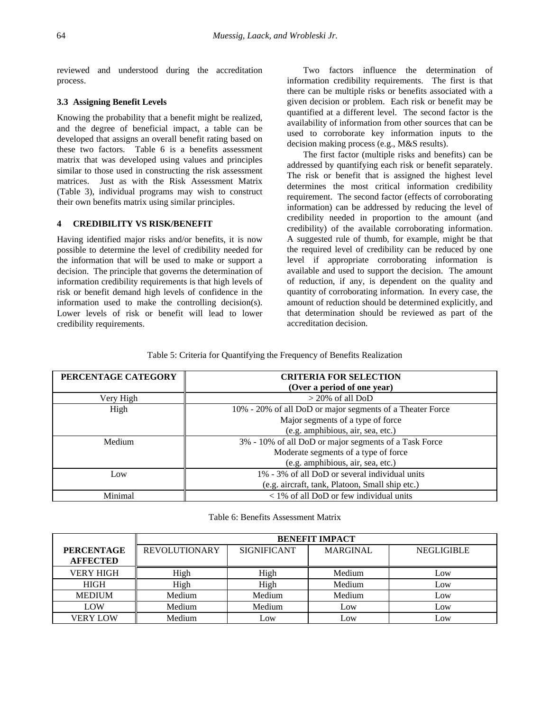reviewed and understood during the accreditation process.

# **3.3 Assigning Benefit Levels**

Knowing the probability that a benefit might be realized, and the degree of beneficial impact, a table can be developed that assigns an overall benefit rating based on these two factors. Table 6 is a benefits assessment matrix that was developed using values and principles similar to those used in constructing the risk assessment matrices. Just as with the Risk Assessment Matrix (Table 3), individual programs may wish to construct their own benefits matrix using similar principles.

# **4 CREDIBILITY VS RISK/BENEFIT**

Having identified major risks and/or benefits, it is now possible to determine the level of credibility needed for the information that will be used to make or support a decision. The principle that governs the determination of information credibility requirements is that high levels of risk or benefit demand high levels of confidence in the information used to make the controlling decision(s). Lower levels of risk or benefit will lead to lower credibility requirements.

Two factors influence the determination of information credibility requirements. The first is that there can be multiple risks or benefits associated with a given decision or problem. Each risk or benefit may be quantified at a different level. The second factor is the availability of information from other sources that can be used to corroborate key information inputs to the decision making process (e.g., M&S results).

The first factor (multiple risks and benefits) can be addressed by quantifying each risk or benefit separately. The risk or benefit that is assigned the highest level determines the most critical information credibility requirement. The second factor (effects of corroborating information) can be addressed by reducing the level of credibility needed in proportion to the amount (and credibility) of the available corroborating information. A suggested rule of thumb, for example, might be that the required level of credibility can be reduced by one level if appropriate corroborating information is available and used to support the decision. The amount of reduction, if any, is dependent on the quality and quantity of corroborating information. In every case, the amount of reduction should be determined explicitly, and that determination should be reviewed as part of the accreditation decision.

#### Table 5: Criteria for Quantifying the Frequency of Benefits Realization

| PERCENTAGE CATEGORY | <b>CRITERIA FOR SELECTION</b>                             |  |  |
|---------------------|-----------------------------------------------------------|--|--|
|                     | (Over a period of one year)                               |  |  |
| Very High           | $>$ 20% of all DoD                                        |  |  |
| High                | 10% - 20% of all DoD or major segments of a Theater Force |  |  |
|                     | Major segments of a type of force                         |  |  |
|                     | (e.g. amphibious, air, sea, etc.)                         |  |  |
| Medium              | 3% - 10% of all DoD or major segments of a Task Force     |  |  |
|                     | Moderate segments of a type of force                      |  |  |
|                     | (e.g. amphibious, air, sea, etc.)                         |  |  |
| Low                 | 1% - 3% of all DoD or several individual units            |  |  |
|                     | (e.g. aircraft, tank, Platoon, Small ship etc.)           |  |  |
| Minimal             | $<$ 1% of all DoD or few individual units                 |  |  |

Table 6: Benefits Assessment Matrix

|                   | <b>BENEFIT IMPACT</b> |                    |                 |                   |
|-------------------|-----------------------|--------------------|-----------------|-------------------|
| <b>PERCENTAGE</b> | <b>REVOLUTIONARY</b>  | <b>SIGNIFICANT</b> | <b>MARGINAL</b> | <b>NEGLIGIBLE</b> |
| <b>AFFECTED</b>   |                       |                    |                 |                   |
| <b>VERY HIGH</b>  | High                  | High               | Medium          | Low               |
| <b>HIGH</b>       | High                  | High               | Medium          | Low               |
| <b>MEDIUM</b>     | Medium                | Medium             | Medium          | Low               |
| LOW               | Medium                | Medium             | Low             | Low               |
| <b>VERY LOW</b>   | Medium                | Low                | Low             | Low               |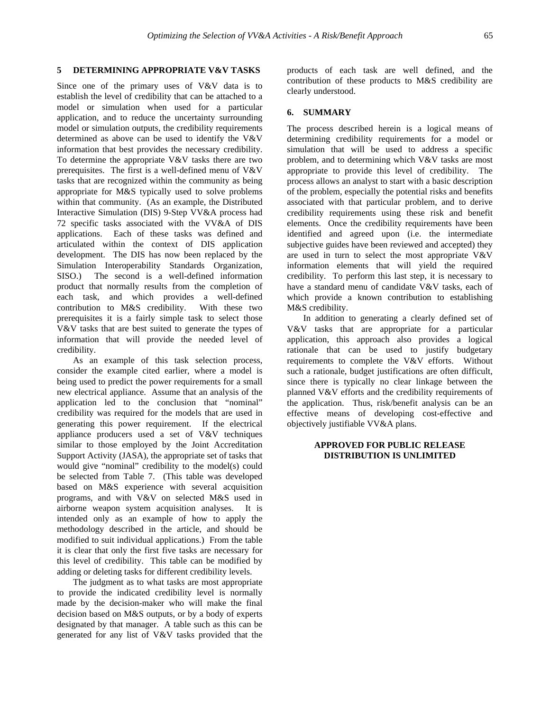# **5 DETERMINING APPROPRIATE V&V TASKS**

Since one of the primary uses of V&V data is to establish the level of credibility that can be attached to a model or simulation when used for a particular application, and to reduce the uncertainty surrounding model or simulation outputs, the credibility requirements determined as above can be used to identify the V&V information that best provides the necessary credibility. To determine the appropriate V&V tasks there are two prerequisites. The first is a well-defined menu of V&V tasks that are recognized within the community as being appropriate for M&S typically used to solve problems within that community. (As an example, the Distributed Interactive Simulation (DIS) 9-Step VV&A process had 72 specific tasks associated with the VV&A of DIS applications. Each of these tasks was defined and articulated within the context of DIS application development. The DIS has now been replaced by the Simulation Interoperability Standards Organization,<br>SISO.) The second is a well-defined information The second is a well-defined information product that normally results from the completion of each task, and which provides a well-defined contribution to M&S credibility. With these two prerequisites it is a fairly simple task to select those V&V tasks that are best suited to generate the types of information that will provide the needed level of credibility.

As an example of this task selection process, consider the example cited earlier, where a model is being used to predict the power requirements for a small new electrical appliance. Assume that an analysis of the application led to the conclusion that "nominal" credibility was required for the models that are used in generating this power requirement. If the electrical appliance producers used a set of V&V techniques similar to those employed by the Joint Accreditation Support Activity (JASA), the appropriate set of tasks that would give "nominal" credibility to the model(s) could be selected from Table 7. (This table was developed based on M&S experience with several acquisition programs, and with V&V on selected M&S used in airborne weapon system acquisition analyses. It is intended only as an example of how to apply the methodology described in the article, and should be modified to suit individual applications.) From the table it is clear that only the first five tasks are necessary for this level of credibility. This table can be modified by adding or deleting tasks for different credibility levels.

The judgment as to what tasks are most appropriate to provide the indicated credibility level is normally made by the decision-maker who will make the final decision based on M&S outputs, or by a body of experts designated by that manager. A table such as this can be generated for any list of V&V tasks provided that the

products of each task are well defined, and the contribution of these products to M&S credibility are clearly understood.

# **6. SUMMARY**

The process described herein is a logical means of determining credibility requirements for a model or simulation that will be used to address a specific problem, and to determining which V&V tasks are most appropriate to provide this level of credibility. The process allows an analyst to start with a basic description of the problem, especially the potential risks and benefits associated with that particular problem, and to derive credibility requirements using these risk and benefit elements. Once the credibility requirements have been identified and agreed upon (i.e. the intermediate subjective guides have been reviewed and accepted) they are used in turn to select the most appropriate V&V information elements that will yield the required credibility. To perform this last step, it is necessary to have a standard menu of candidate V&V tasks, each of which provide a known contribution to establishing M&S credibility.

In addition to generating a clearly defined set of V&V tasks that are appropriate for a particular application, this approach also provides a logical rationale that can be used to justify budgetary requirements to complete the V&V efforts. Without such a rationale, budget justifications are often difficult, since there is typically no clear linkage between the planned V&V efforts and the credibility requirements of the application. Thus, risk/benefit analysis can be an effective means of developing cost-effective and objectively justifiable VV&A plans.

# **APPROVED FOR PUBLIC RELEASE DISTRIBUTION IS UNLIMITED**